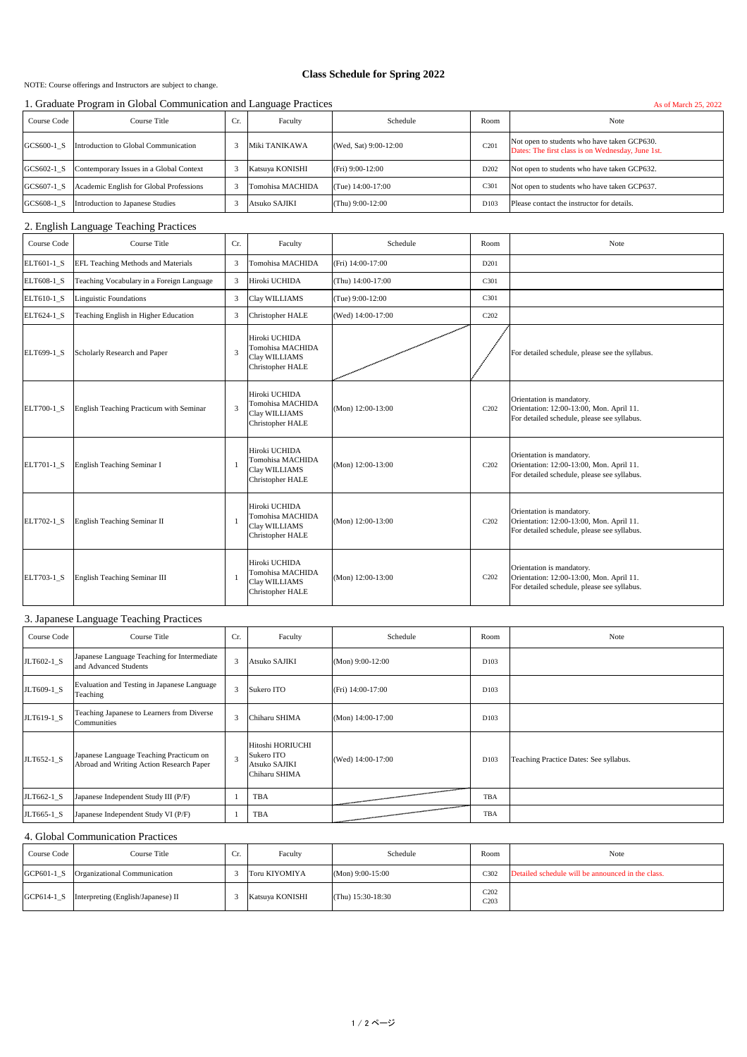NOTE: Course offerings and Instructors are subject to change.

## **Class Schedule for Spring 2022**

#### 1. Graduate Program in Global Communication and Language Practices As of March 25, 2022

| 1. Oraquale I rogram in Olobar Communication and Eanguage I ractices<br>AS OF MATCH $2J$ , $2022$ |                                         |     |                  |                       |                  |                                                                                                  |  |
|---------------------------------------------------------------------------------------------------|-----------------------------------------|-----|------------------|-----------------------|------------------|--------------------------------------------------------------------------------------------------|--|
| Course Code                                                                                       | Course Title                            | Cr. | Faculty          | Schedule              | Room             | Note                                                                                             |  |
| GCS600-1 S                                                                                        | Introduction to Global Communication    |     | Miki TANIKAWA    | (Wed, Sat) 9:00-12:00 | C <sub>201</sub> | Not open to students who have taken GCP630.<br>Dates: The first class is on Wednesday, June 1st. |  |
| GCS602-1 S                                                                                        | Contemporary Issues in a Global Context |     | Katsuya KONISHI  | $(Fri) 9:00-12:00$    | D <sub>202</sub> | Not open to students who have taken GCP632.                                                      |  |
| GCS607-1 S                                                                                        | Academic English for Global Professions |     | Tomohisa MACHIDA | (Tue) 14:00-17:00     | C <sub>301</sub> | Not open to students who have taken GCP637.                                                      |  |
| GCS608-1 S                                                                                        | Introduction to Japanese Studies        |     | Atsuko SAJIKI    | $(Thu) 9:00-12:00$    | D <sub>103</sub> | Please contact the instructor for details.                                                       |  |

#### 2. English Language Teaching Practices

| Course Code | Course Title                              | Cr. | Faculty                                                                       | Schedule          | Room                          | Note                                                                                                                 |
|-------------|-------------------------------------------|-----|-------------------------------------------------------------------------------|-------------------|-------------------------------|----------------------------------------------------------------------------------------------------------------------|
| ELT601-1 S  | EFL Teaching Methods and Materials        | 3   | Tomohisa MACHIDA                                                              | (Fri) 14:00-17:00 | D <sub>201</sub>              |                                                                                                                      |
| ELT608-1_S  | Teaching Vocabulary in a Foreign Language | 3   | Hiroki UCHIDA                                                                 | (Thu) 14:00-17:00 | C301                          |                                                                                                                      |
| ELT610-1 S  | <b>Linguistic Foundations</b>             | 3   | Clay WILLIAMS                                                                 | (Tue) 9:00-12:00  | C301                          |                                                                                                                      |
| ELT624-1 S  | Teaching English in Higher Education      | 3   | Christopher HALE                                                              | (Wed) 14:00-17:00 | C <sub>202</sub>              |                                                                                                                      |
| ELT699-1 S  | Scholarly Research and Paper              | 3   | Hiroki UCHIDA<br>Tomohisa MACHIDA<br>Clay WILLIAMS<br>Christopher HALE        |                   |                               | For detailed schedule, please see the syllabus.                                                                      |
| ELT700-1 S  | English Teaching Practicum with Seminar   | 3   | Hiroki UCHIDA<br>Tomohisa MACHIDA<br>Clay WILLIAMS<br><b>Christopher HALE</b> | (Mon) 12:00-13:00 | C <sub>202</sub>              | Orientation is mandatory.<br>Orientation: 12:00-13:00, Mon. April 11.<br>For detailed schedule, please see syllabus. |
| ELT701-1 S  | <b>English Teaching Seminar I</b>         |     | Hiroki UCHIDA<br>Tomohisa MACHIDA<br>Clay WILLIAMS<br>Christopher HALE        | (Mon) 12:00-13:00 | C <sub>202</sub>              | Orientation is mandatory.<br>Orientation: 12:00-13:00, Mon. April 11.<br>For detailed schedule, please see syllabus. |
| ELT702-1 S  | English Teaching Seminar II               |     | Hiroki UCHIDA<br>Tomohisa MACHIDA<br>Clay WILLIAMS<br><b>Christopher HALE</b> | (Mon) 12:00-13:00 | C <sub>2</sub> 0 <sub>2</sub> | Orientation is mandatory.<br>Orientation: 12:00-13:00, Mon. April 11.<br>For detailed schedule, please see syllabus. |
| ELT703-1 S  | English Teaching Seminar III              |     | Hiroki UCHIDA<br>Tomohisa MACHIDA<br>Clay WILLIAMS<br>Christopher HALE        | (Mon) 12:00-13:00 | C <sub>202</sub>              | Orientation is mandatory.<br>Orientation: 12:00-13:00, Mon. April 11.<br>For detailed schedule, please see syllabus. |

# 3. Japanese Language Teaching Practices

| Course Code | Course Title                                                                        | Cr. | Faculty                                                          | Schedule            | Room             | Note                                   |
|-------------|-------------------------------------------------------------------------------------|-----|------------------------------------------------------------------|---------------------|------------------|----------------------------------------|
| JLT602-1 S  | Japanese Language Teaching for Intermediate<br>and Advanced Students                | 3   | Atsuko SAJIKI                                                    | $(Mon) 9:00-12:00$  | D <sub>103</sub> |                                        |
| JLT609-1_S  | Evaluation and Testing in Japanese Language<br>Teaching                             | 3   | Sukero ITO                                                       | (Fri) 14:00-17:00   | D <sub>103</sub> |                                        |
| JLT619-1 S  | Teaching Japanese to Learners from Diverse<br>Communities                           | 3   | Chiharu SHIMA                                                    | $(Mon)$ 14:00-17:00 | D <sub>103</sub> |                                        |
| JLT652-1 S  | Japanese Language Teaching Practicum on<br>Abroad and Writing Action Research Paper | 3   | Hitoshi HORIUCHI<br>Sukero ITO<br>Atsuko SAJIKI<br>Chiharu SHIMA | (Wed) 14:00-17:00   | D103             | Teaching Practice Dates: See syllabus. |
| JLT662-1 S  | Japanese Independent Study III (P/F)                                                |     | TBA                                                              |                     | TBA              |                                        |
| JLT665-1 S  | Japanese Independent Study VI (P/F)                                                 |     | TBA                                                              |                     | TBA              |                                        |

### 4. Global Communication Practices

| Course Code | Course Title                       | u. | Faculty         | Schedule            | Room         | Note                                              |
|-------------|------------------------------------|----|-----------------|---------------------|--------------|---------------------------------------------------|
| GCP601-1 S  | Organizational Communication       |    | Toru KIYOMIYA   | $(Mon) 9:00-15:00$  | C302         | Detailed schedule will be announced in the class. |
| GCP614-1 S  | Interpreting (English/Japanese) II |    | Katsuya KONISHI | (Thu) $15:30-18:30$ | C202<br>C203 |                                                   |